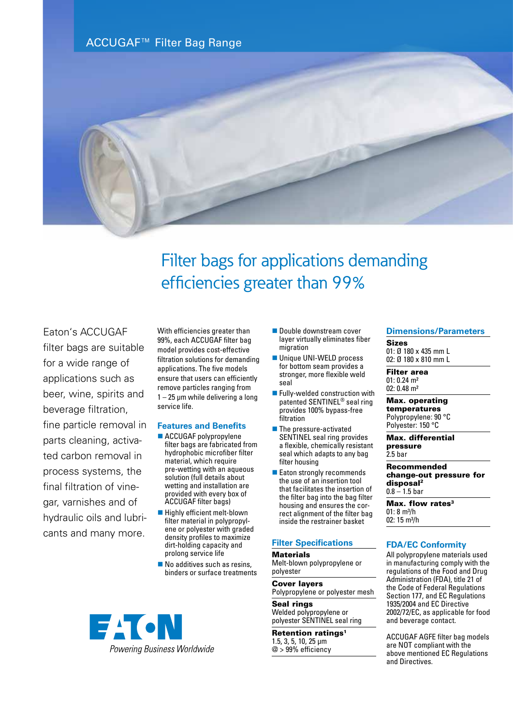ACCUGAF™ Filter Bag Range



# Filter bags for applications demanding efficiencies greater than 99%

# Eaton's ACCUGAF

filter bags are suitable for a wide range of applications such as beer, wine, spirits and beverage filtration, fine particle removal in parts cleaning, activated carbon removal in process systems, the final filtration of vinegar, varnishes and of hydraulic oils and lubricants and many more.

With efficiencies greater than 99%, each ACCUGAF filter bag model provides cost-effective filtration solutions for demanding applications. The five models ensure that users can efficiently remove particles ranging from 1 – 25 μm while delivering a long service life.

#### **Features and Benefits**

- ACCUGAF polypropylene filter bags are fabricated from hydrophobic microfiber filter material, which require pre-wetting with an aqueous solution (full details about wetting and installation are provided with every box of ACCUGAF filter bags)
- $\blacksquare$  Highly efficient melt-blown filter material in polypropylene or polyester with graded density profiles to maximize dirt-holding capacity and prolong service life
- $\blacksquare$  No additives such as resins, binders or surface treatments



- **n** Double downstream cover layer virtually eliminates fiber migration
- Unique UNI-WELD process for bottom seam provides a stronger, more flexible weld seal
- $\blacksquare$  Fully-welded construction with patented SENTINEL® seal ring provides 100% bypass-free filtration
- $\blacksquare$  The pressure-activated SENTINEL seal ring provides a flexible, chemically resistant seal which adapts to any bag filter housing
- Eaton strongly recommends the use of an insertion tool that facilitates the insertion of the filter bag into the bag filter housing and ensures the correct alignment of the filter bag inside the restrainer basket

## **Filter Specifications**

**Materials** Melt-blown polypropylene or polyester

Cover layers Polypropylene or polyester mesh

Seal rings Welded polypropylene or polyester SENTINEL seal ring

#### Retention ratings<sup>1</sup> 1.5, 3, 5, 10, 25 µm @ > 99% efficiency

#### **Dimensions/Parameters**

Sizes 01: Ø 180 x 435 mm L 02: Ø 180 x 810 mm L

Filter area 01: 0.24 m² 02: 0.48 m²

Max. operating temperatures Polypropylene: 90 °C Polyester: 150 °C

Max. differential pressure 2.5 bar

Recommended change-out pressure for disposal2  $0.8 - 1.5$  bar

Max. flow rates<sup>3</sup>  $01: 8 m<sup>3</sup>/h$ 02: 15 m<sup>3</sup>/h

## **FDA/EC Conformity**

All polypropylene materials used in manufacturing comply with the regulations of the Food and Drug Administration (FDA), title 21 of the Code of Federal Regulations Section 177, and EC Regulations 1935/2004 and EC Directive 2002/72/EC, as applicable for food and beverage contact.

ACCUGAF AGFE filter bag models are NOT compliant with the above mentioned EC Regulations and Directives.